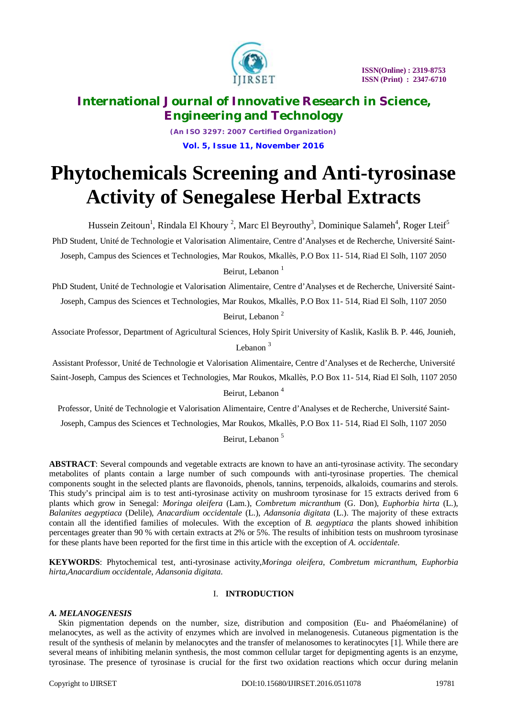

*(An ISO 3297: 2007 Certified Organization)* **Vol. 5, Issue 11, November 2016**

# **Phytochemicals Screening and Anti-tyrosinase Activity of Senegalese Herbal Extracts**

Hussein Zeitoun<sup>1</sup>, Rindala El Khoury<sup>2</sup>, Marc El Beyrouthy<sup>3</sup>, Dominique Salameh<sup>4</sup>, Roger Lteif<sup>5</sup> PhD Student, Unité de Technologie et Valorisation Alimentaire, Centre d'Analyses et de Recherche, Université Saint-Joseph, Campus des Sciences et Technologies, Mar Roukos, Mkallès, P.O Box 11- 514, Riad El Solh, 1107 2050

Beirut, Lebanon<sup>1</sup>

PhD Student, Unité de Technologie et Valorisation Alimentaire, Centre d'Analyses et de Recherche, Université Saint-Joseph, Campus des Sciences et Technologies, Mar Roukos, Mkallès, P.O Box 11- 514, Riad El Solh, 1107 2050

Beirut, Lebanon <sup>2</sup>

Associate Professor, Department of Agricultural Sciences, Holy Spirit University of Kaslik, Kaslik B. P. 446, Jounieh, Lebanon<sup>3</sup>

Assistant Professor, Unité de Technologie et Valorisation Alimentaire, Centre d'Analyses et de Recherche, Université Saint-Joseph, Campus des Sciences et Technologies, Mar Roukos, Mkallès, P.O Box 11- 514, Riad El Solh, 1107 2050

Beirut, Lebanon<sup>4</sup>

Professor, Unité de Technologie et Valorisation Alimentaire, Centre d'Analyses et de Recherche, Université Saint-

Joseph, Campus des Sciences et Technologies, Mar Roukos, Mkallès, P.O Box 11- 514, Riad El Solh, 1107 2050

Beirut, Lebanon<sup>5</sup>

**ABSTRACT**: Several compounds and vegetable extracts are known to have an anti-tyrosinase activity. The secondary metabolites of plants contain a large number of such compounds with anti-tyrosinase properties. The chemical components sought in the selected plants are flavonoids, phenols, tannins, terpenoids, alkaloids, coumarins and sterols. This study's principal aim is to test anti-tyrosinase activity on mushroom tyrosinase for 15 extracts derived from 6 plants which grow in Senegal: *Moringa oleifera* (Lam.), *Combretum micranthum* (G. Don), *Euphorbia hirta* (L.), *Balanites aegyptiaca* (Delile), *Anacardium occidentale* (L.), *Adansonia digitata* (L.). The majority of these extracts contain all the identified families of molecules. With the exception of *B. aegyptiaca* the plants showed inhibition percentages greater than 90 % with certain extracts at 2% or 5%. The results of inhibition tests on mushroom tyrosinase for these plants have been reported for the first time in this article with the exception of *A. occidentale*.

**KEYWORDS**: Phytochemical test, anti-tyrosinase activity,*Moringa oleifera*, *Combretum micranthum*, *Euphorbia hirta*,*Anacardium occidentale*, *Adansonia digitata*.

# I. **INTRODUCTION**

### *A. MELANOGENESIS*

Skin pigmentation depends on the number, size, distribution and composition (Eu- and Phaéomélanine) of melanocytes, as well as the activity of enzymes which are involved in melanogenesis. Cutaneous pigmentation is the result of the synthesis of melanin by melanocytes and the transfer of melanosomes to keratinocytes [1]. While there are several means of inhibiting melanin synthesis, the most common cellular target for depigmenting agents is an enzyme, tyrosinase. The presence of tyrosinase is crucial for the first two oxidation reactions which occur during melanin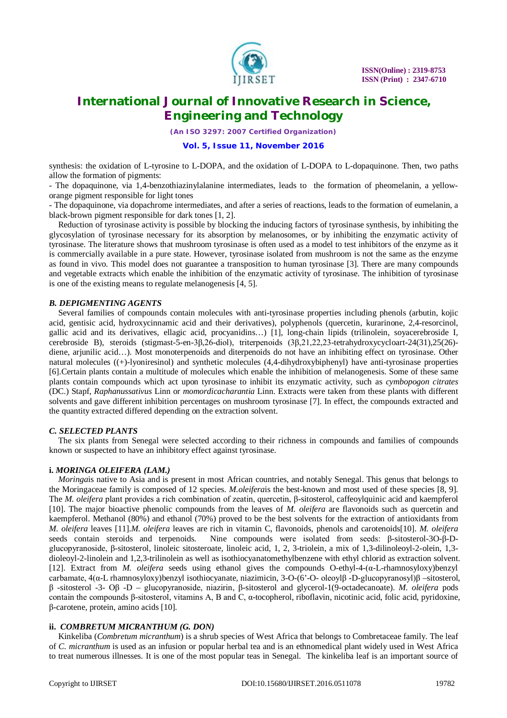

*(An ISO 3297: 2007 Certified Organization)*

#### **Vol. 5, Issue 11, November 2016**

synthesis: the oxidation of L-tyrosine to L-DOPA, and the oxidation of L-DOPA to L-dopaquinone. Then, two paths allow the formation of pigments:

- The dopaquinone, via 1,4-benzothiazinylalanine intermediates, leads to the formation of pheomelanin, a yelloworange pigment responsible for light tones

- The dopaquinone, via dopachrome intermediates, and after a series of reactions, leads to the formation of eumelanin, a black-brown pigment responsible for dark tones [1, 2].

Reduction of tyrosinase activity is possible by blocking the inducing factors of tyrosinase synthesis, by inhibiting the glycosylation of tyrosinase necessary for its absorption by melanosomes, or by inhibiting the enzymatic activity of tyrosinase. The literature shows that mushroom tyrosinase is often used as a model to test inhibitors of the enzyme as it is commercially available in a pure state. However, tyrosinase isolated from mushroom is not the same as the enzyme as found in vivo. This model does not guarantee a transposition to human tyrosinase [3]. There are many compounds and vegetable extracts which enable the inhibition of the enzymatic activity of tyrosinase. The inhibition of tyrosinase is one of the existing means to regulate melanogenesis [4, 5].

#### *B. DEPIGMENTING AGENTS*

Several families of compounds contain molecules with anti-tyrosinase properties including phenols (arbutin, kojic acid, gentisic acid, hydroxycinnamic acid and their derivatives), polyphenols (quercetin, kurarinone, 2,4-resorcinol, gallic acid and its derivatives, ellagic acid, procyanidins…) [1], long-chain lipids (trilinolein, soyacerebroside I, cerebroside B), steroids (stigmast-5-en-3β,26-diol), triterpenoids (3β,21,22,23-tetrahydroxycycloart-24(31),25(26) diene, ariunilic acid…). Most monoterpenoids and diterpenoids do not have an inhibiting effect on tyrosinase. Other natural molecules ((+)-lyoniresinol) and synthetic molecules (4,4-dihydroxybiphenyl) have anti-tyrosinase properties [6].Certain plants contain a multitude of molecules which enable the inhibition of melanogenesis. Some of these same plants contain compounds which act upon tyrosinase to inhibit its enzymatic activity, such as *cymbopogon citrates* (DC.) Stapf, *Raphanussativus* Linn or *momordicacharantia* Linn. Extracts were taken from these plants with different solvents and gave different inhibition percentages on mushroom tyrosinase [7]. In effect, the compounds extracted and the quantity extracted differed depending on the extraction solvent.

### *C. SELECTED PLANTS*

The six plants from Senegal were selected according to their richness in compounds and families of compounds known or suspected to have an inhibitory effect against tyrosinase.

#### **i.** *MORINGA OLEIFERA (LAM.)*

*Moringa*is native to Asia and is present in most African countries, and notably Senegal. This genus that belongs to the Moringaceae family is composed of 12 species. *M.oleifera*is the best-known and most used of these species [8, 9]. The *M. oleifera* plant provides a rich combination of zeatin, quercetin, β-sitosterol, caffeoylquinic acid and kaempferol [10]. The major bioactive phenolic compounds from the leaves of *M. oleifera* are flavonoids such as quercetin and kaempferol. Methanol (80%) and ethanol (70%) proved to be the best solvents for the extraction of antioxidants from *M. oleifera* leaves [11].*M. oleifera* leaves are rich in vitamin C, flavonoids, phenols and carotenoids[10]. *M. oleifera* seeds contain steroids and terpenoids. Nine compounds were isolated from seeds: β-sitosterol-3O-β-Dglucopyranoside, β-sitosterol, linoleic sitosteroate, linoleic acid, 1, 2, 3-triolein, a mix of 1,3-dilinoleoyl-2-olein, 1,3 dioleoyl-2-linolein and 1,2,3-trilinolein as well as isothiocyanatomethylbenzene with ethyl chlorid as extraction solvent. [12]. Extract from *M. oleifera* seeds using ethanol gives the compounds O-ethyl-4-(α-L-rhamnosyloxy)benzyl carbamate, 4(α-L rhamnosyloxy)benzyl isothiocyanate, niazimicin, 3-O-(6'-O- oleoylβ -D-glucopyranosyl)β –sitosterol, β -sitosterol -3- Oβ -D – glucopyranoside, niazirin, β-sitosterol and glycerol-1(9-octadecanoate). *M. oleifera* pods contain the compounds β-sitosterol, vitamins A, B and C, α-tocopherol, riboflavin, nicotinic acid, folic acid, pyridoxine, β-carotene, protein, amino acids [10].

#### **ii.** *COMBRETUM MICRANTHUM (G. DON)*

Kinkeliba (*Combretum micranthum*) is a shrub species of West Africa that belongs to Combretaceae family. The leaf of *C. micranthum* is used as an infusion or popular herbal tea and is an ethnomedical plant widely used in West Africa to treat numerous illnesses. It is one of the most popular teas in Senegal. The kinkeliba leaf is an important source of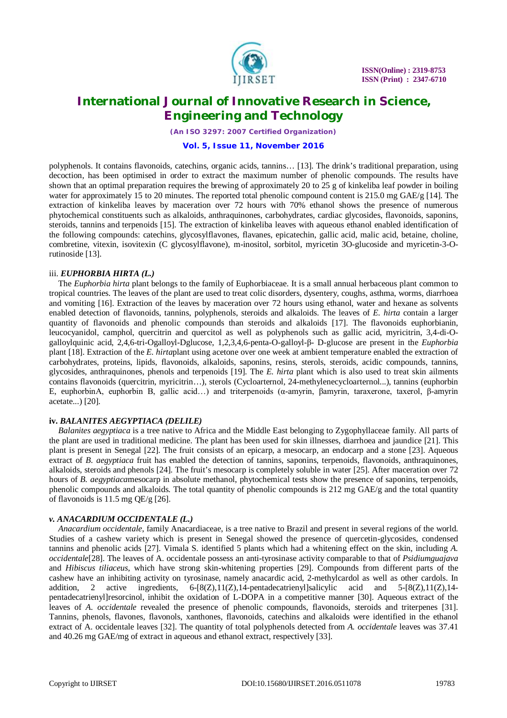

*(An ISO 3297: 2007 Certified Organization)*

#### **Vol. 5, Issue 11, November 2016**

polyphenols. It contains flavonoids, catechins, organic acids, tannins… [13]. The drink's traditional preparation, using decoction, has been optimised in order to extract the maximum number of phenolic compounds. The results have shown that an optimal preparation requires the brewing of approximately 20 to 25 g of kinkeliba leaf powder in boiling water for approximately 15 to 20 minutes. The reported total phenolic compound content is 215.0 mg GAE/g [14]. The extraction of kinkeliba leaves by maceration over 72 hours with 70% ethanol shows the presence of numerous phytochemical constituents such as alkaloids, anthraquinones, carbohydrates, cardiac glycosides, flavonoids, saponins, steroids, tannins and terpenoids [15]. The extraction of kinkeliba leaves with aqueous ethanol enabled identification of the following compounds: catechins, glycosylflavones, flavanes, epicatechin, gallic acid, malic acid, betaine, choline, combretine, vitexin, isovitexin (C glycosylflavone), m-inositol, sorbitol, myricetin 3O-glucoside and myricetin-3-Orutinoside [13].

#### iii. *EUPHORBIA HIRTA (L.)*

The *Euphorbia hirta* plant belongs to the family of Euphorbiaceae. It is a small annual herbaceous plant common to tropical countries. The leaves of the plant are used to treat colic disorders, dysentery, coughs, asthma, worms, diarrhoea and vomiting [16]. Extraction of the leaves by maceration over 72 hours using ethanol, water and hexane as solvents enabled detection of flavonoids, tannins, polyphenols, steroids and alkaloids. The leaves of *E. hirta* contain a larger quantity of flavonoids and phenolic compounds than steroids and alkaloids [17]. The flavonoids euphorbianin, leucocyanidol, camphol, quercitrin and quercitol as well as polyphenols such as gallic acid, myricitrin, 3,4-di-Ogalloylquinic acid, 2,4,6-tri-Ogalloyl-Dglucose, 1,2,3,4,6-penta-O-galloyl-β- D-glucose are present in the *Euphorbia* plant [18]. Extraction of the *E. hirta*plant using acetone over one week at ambient temperature enabled the extraction of carbohydrates, proteins, lipids, flavonoids, alkaloids, saponins, resins, sterols, steroids, acidic compounds, tannins, glycosides, anthraquinones, phenols and terpenoids [19]. The *E. hirta* plant which is also used to treat skin ailments contains flavonoids (quercitrin, myricitrin…), sterols (Cycloarternol, 24-methylenecycloarternol...), tannins (euphorbin E, euphorbinA, euphorbin B, gallic acid…) and triterpenoids (α-amyrin, βamyrin, taraxerone, taxerol, β-amyrin acetate...) [20].

### **iv.** *BALANITES AEGYPTIACA (DELILE)*

*Balanites aegyptiaca* is a tree native to Africa and the Middle East belonging to Zygophyllaceae family. All parts of the plant are used in traditional medicine. The plant has been used for skin illnesses, diarrhoea and jaundice [21]. This plant is present in Senegal [22]. The fruit consists of an epicarp, a mesocarp, an endocarp and a stone [23]. Aqueous extract of *B. aegyptiaca* fruit has enabled the detection of tannins, saponins, terpenoids, flavonoids, anthraquinones, alkaloids, steroids and phenols [24]. The fruit's mesocarp is completely soluble in water [25]. After maceration over 72 hours of *B. aegyptiaca*mesocarp in absolute methanol, phytochemical tests show the presence of saponins, terpenoids, phenolic compounds and alkaloids. The total quantity of phenolic compounds is 212 mg GAE/g and the total quantity of flavonoids is 11.5 mg QE/g [26].

### *v. ANACARDIUM OCCIDENTALE (L.)*

*Anacardium occidentale*, family Anacardiaceae, is a tree native to Brazil and present in several regions of the world. Studies of a cashew variety which is present in Senegal showed the presence of quercetin-glycosides, condensed tannins and phenolic acids [27]. Vimala S. identified 5 plants which had a whitening effect on the skin, including *A. occidentale*[28]. The leaves of A. occidentale possess an anti-tyrosinase activity comparable to that of *Psidiumguajava* and *Hibiscus tiliaceus*, which have strong skin-whitening properties [29]. Compounds from different parts of the cashew have an inhibiting activity on tyrosinase, namely anacardic acid, 2-methylcardol as well as other cardols. In addition, 2 active ingredients,  $6-[8(Z),11(Z),14-p$ entadecatrienyl]salicylic acid and  $5-[8(Z),11(Z),14-p$ pentadecatrienyl]resorcinol, inhibit the oxidation of L-DOPA in a competitive manner [30]. Aqueous extract of the leaves of *A. occidentale* revealed the presence of phenolic compounds, flavonoids, steroids and triterpenes [31]. Tannins, phenols, flavones, flavonols, xanthones, flavonoids, catechins and alkaloids were identified in the ethanol extract of A. occidentale leaves [32]. The quantity of total polyphenols detected from *A. occidentale* leaves was 37.41 and 40.26 mg GAE/mg of extract in aqueous and ethanol extract, respectively [33].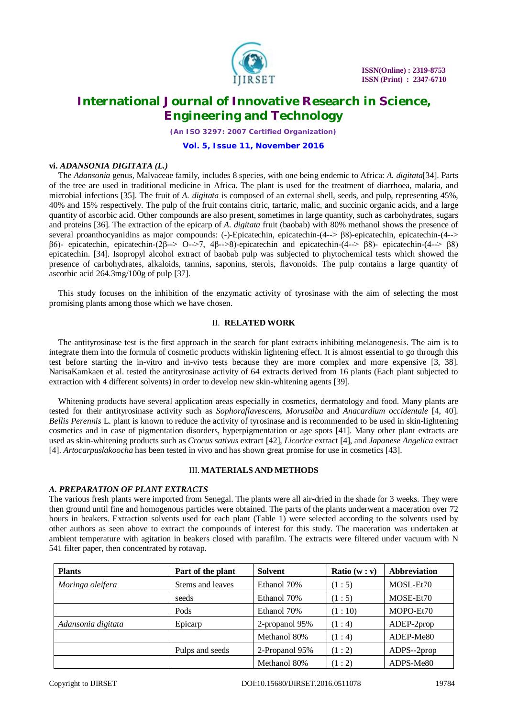

*(An ISO 3297: 2007 Certified Organization)*

#### **Vol. 5, Issue 11, November 2016**

### **vi.** *ADANSONIA DIGITATA (L.)*

The *Adansonia* genus, Malvaceae family, includes 8 species, with one being endemic to Africa: *A. digitata*[34]. Parts of the tree are used in traditional medicine in Africa. The plant is used for the treatment of diarrhoea, malaria, and microbial infections [35]. The fruit of *A. digitata* is composed of an external shell, seeds, and pulp, representing 45%, 40% and 15% respectively. The pulp of the fruit contains citric, tartaric, malic, and succinic organic acids, and a large quantity of ascorbic acid. Other compounds are also present, sometimes in large quantity, such as carbohydrates, sugars and proteins [36]. The extraction of the epicarp of *A. digitata* fruit (baobab) with 80% methanol shows the presence of several proanthocyanidins as major compounds: (-)-Epicatechin, epicatechin-(4--> β8)-epicatechin, epicatechin-(4--> β6)- epicatechin, epicatechin-(2β--> O-->7, 4β-->8)-epicatechin and epicatechin-(4--> β8)- epicatechin-(4--> β8) epicatechin. [34]. Isopropyl alcohol extract of baobab pulp was subjected to phytochemical tests which showed the presence of carbohydrates, alkaloids, tannins, saponins, sterols, flavonoids. The pulp contains a large quantity of ascorbic acid 264.3mg/100g of pulp [37].

This study focuses on the inhibition of the enzymatic activity of tyrosinase with the aim of selecting the most promising plants among those which we have chosen.

#### II. **RELATED WORK**

The antityrosinase test is the first approach in the search for plant extracts inhibiting melanogenesis. The aim is to integrate them into the formula of cosmetic products withskin lightening effect. It is almost essential to go through this test before starting the in-vitro and in-vivo tests because they are more complex and more expensive [3, 38]. NarisaKamkaen et al. tested the antityrosinase activity of 64 extracts derived from 16 plants (Each plant subjected to extraction with 4 different solvents) in order to develop new skin-whitening agents [39].

Whitening products have several application areas especially in cosmetics, dermatology and food. Many plants are tested for their antityrosinase activity such as *Sophoraflavescens*, *Morusalba* and *Anacardium occidentale* [4, 40]. *Bellis Perennis* L. plant is known to reduce the activity of tyrosinase and is recommended to be used in skin-lightening cosmetics and in case of pigmentation disorders, hyperpigmentation or age spots [41]. Many other plant extracts are used as skin-whitening products such as *Crocus sativus* extract [42], *Licorice* extract [4], and *Japanese Angelica* extract [4]. *Artocarpuslakoocha* has been tested in vivo and has shown great promise for use in cosmetics [43].

#### III. **MATERIALS AND METHODS**

## *A. PREPARATION OF PLANT EXTRACTS*

The various fresh plants were imported from Senegal. The plants were all air-dried in the shade for 3 weeks. They were then ground until fine and homogenous particles were obtained. The parts of the plants underwent a maceration over 72 hours in beakers. Extraction solvents used for each plant (Table 1) were selected according to the solvents used by other authors as seen above to extract the compounds of interest for this study. The maceration was undertaken at ambient temperature with agitation in beakers closed with parafilm. The extracts were filtered under vacuum with N 541 filter paper, then concentrated by rotavap.

| <b>Plants</b>      | Part of the plant | Solvent        | <b>Ratio</b> $(w : v)$ | <b>Abbreviation</b> |  |
|--------------------|-------------------|----------------|------------------------|---------------------|--|
| Moringa oleifera   | Stems and leaves  | Ethanol 70%    | (1:5)                  | MOSL-Et70           |  |
|                    | seeds             | Ethanol 70%    | (1:5)                  | MOSE-Et70           |  |
|                    | Pods              | Ethanol 70%    | (1:10)                 | MOPO-Et70           |  |
| Adansonia digitata | Epicarp           | 2-propanol 95% | (1:4)                  | ADEP-2prop          |  |
|                    |                   | Methanol 80%   | (1:4)                  | ADEP-Me80           |  |
|                    | Pulps and seeds   | 2-Propanol 95% | (1:2)                  | ADPS--2prop         |  |
|                    |                   | Methanol 80%   | (1:2)                  | ADPS-Me80           |  |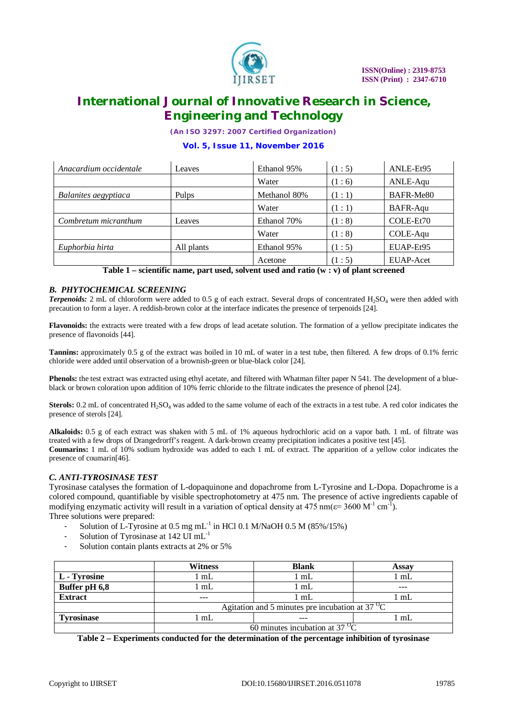

*(An ISO 3297: 2007 Certified Organization)*

# **Vol. 5, Issue 11, November 2016**

| Anacardium occidentale | Leaves     | Ethanol 95%  | (1:5) | ANLE-Et95 |
|------------------------|------------|--------------|-------|-----------|
|                        |            | Water        | (1:6) | ANLE-Aqu  |
| Balanites aegyptiaca   | Pulps      | Methanol 80% | (1:1) | BAFR-Me80 |
|                        |            | Water        | (1:1) | BAFR-Aqu  |
| Combretum micranthum   | Leaves     | Ethanol 70%  | (1:8) | COLE-Et70 |
|                        |            | Water        | (1:8) | COLE-Aqu  |
| Euphorbia hirta        | All plants | Ethanol 95%  | (1:5) | EUAP-Et95 |
|                        |            | Acetone      | (1:5) | EUAP-Acet |

**Table 1 – scientific name, part used, solvent used and ratio (w : v) of plant screened**

#### *B. PHYTOCHEMICAL SCREENING*

*Terpenoids:* 2 mL of chloroform were added to 0.5 g of each extract. Several drops of concentrated H<sub>2</sub>SO<sub>4</sub> were then added with precaution to form a layer. A reddish-brown color at the interface indicates the presence of terpenoids [24].

**Flavonoids:** the extracts were treated with a few drops of lead acetate solution. The formation of a yellow precipitate indicates the presence of flavonoids [44].

**Tannins:** approximately 0.5 g of the extract was boiled in 10 mL of water in a test tube, then filtered. A few drops of 0.1% ferric chloride were added until observation of a brownish-green or blue-black color [24].

**Phenols:** the test extract was extracted using ethyl acetate, and filtered with Whatman filter paper N 541. The development of a blueblack or brown coloration upon addition of 10% ferric chloride to the filtrate indicates the presence of phenol [24].

**Sterols:** 0.2 mL of concentrated H<sub>2</sub>SO<sub>4</sub> was added to the same volume of each of the extracts in a test tube. A red color indicates the presence of sterols [24].

**Alkaloids:** 0.5 g of each extract was shaken with 5 mL of 1% aqueous hydrochloric acid on a vapor bath. 1 mL of filtrate was treated with a few drops of Drangedrorff's reagent. A dark-brown creamy precipitation indicates a positive test [45]. **Coumarins:** 1 mL of 10% sodium hydroxide was added to each 1 mL of extract. The apparition of a yellow color indicates the presence of coumarin[46].

### *C. ANTI-TYROSINASE TEST*

Tyrosinase catalyses the formation of L-dopaquinone and dopachrome from L-Tyrosine and L-Dopa. Dopachrome is a colored compound, quantifiable by visible spectrophotometry at 475 nm. The presence of active ingredients capable of modifying enzymatic activity will result in a variation of optical density at 475 nm( $\varepsilon$ = 3600 M<sup>-1</sup> cm<sup>-1</sup>). Three solutions were prepared:

- Solution of L-Tyrosine at  $0.5 \text{ mg} \text{ mL}^{-1}$  in HCl  $0.1 \text{ M/NaOH } 0.5 \text{ M}$  (85%/15%)
- Solution of Tyrosinase at 142  $\overline{UI}$  mL<sup>-1</sup>
- Solution contain plants extracts at 2% or 5%

|                   | Witness                                                  | <b>Blank</b> | Assav |  |
|-------------------|----------------------------------------------------------|--------------|-------|--|
| L - Tyrosine      | m <sub>L</sub>                                           | l mL         | mL    |  |
| Buffer pH 6,8     | $\mathbb{L}$                                             | . mL         | ---   |  |
| <b>Extract</b>    | $- - -$                                                  | l mL         | mL    |  |
|                   | Agitation and 5 minutes pre incubation at $37^{\circ}$ C |              |       |  |
| <b>\vrosinase</b> | mL                                                       | $- - -$      | mL    |  |
|                   | 60 minutes incubation at $37^{\circ}$ C                  |              |       |  |

**Table 2 – Experiments conducted for the determination of the percentage inhibition of tyrosinase**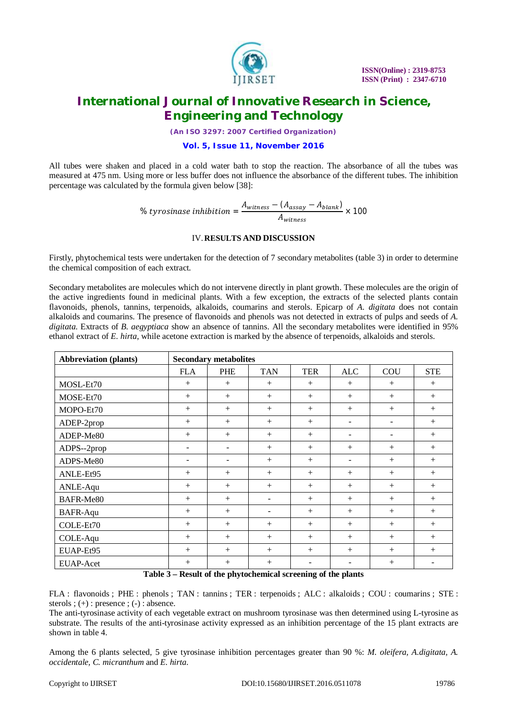

*(An ISO 3297: 2007 Certified Organization)*

### **Vol. 5, Issue 11, November 2016**

All tubes were shaken and placed in a cold water bath to stop the reaction. The absorbance of all the tubes was measured at 475 nm. Using more or less buffer does not influence the absorbance of the different tubes. The inhibition percentage was calculated by the formula given below [38]:

% tyrosinase inhibition = 
$$
\frac{A_{witness} - (A_{assay} - A_{blank})}{A_{witness}} \times 100
$$

### IV.**RESULTS AND DISCUSSION**

Firstly, phytochemical tests were undertaken for the detection of 7 secondary metabolites (table 3) in order to determine the chemical composition of each extract.

Secondary metabolites are molecules which do not intervene directly in plant growth. These molecules are the origin of the active ingredients found in medicinal plants. With a few exception, the extracts of the selected plants contain flavonoids, phenols, tannins, terpenoids, alkaloids, coumarins and sterols. Epicarp of *A. digitata* does not contain alkaloids and coumarins. The presence of flavonoids and phenols was not detected in extracts of pulps and seeds of *A. digitata*. Extracts of *B. aegyptiaca* show an absence of tannins. All the secondary metabolites were identified in 95% ethanol extract of *E. hirta*, while acetone extraction is marked by the absence of terpenoids, alkaloids and sterols.

| <b>Abbreviation (plants)</b> | <b>Secondary metabolites</b> |                                                                                                                                                                                                                                                                                                                                                                                                                                                                                                  |                          |                         |                          |        |            |
|------------------------------|------------------------------|--------------------------------------------------------------------------------------------------------------------------------------------------------------------------------------------------------------------------------------------------------------------------------------------------------------------------------------------------------------------------------------------------------------------------------------------------------------------------------------------------|--------------------------|-------------------------|--------------------------|--------|------------|
|                              | <b>FLA</b>                   | PHE                                                                                                                                                                                                                                                                                                                                                                                                                                                                                              | <b>TAN</b>               | <b>TER</b>              | ALC                      | COU    | <b>STE</b> |
| MOSL-Et70                    | $+$                          | $+$                                                                                                                                                                                                                                                                                                                                                                                                                                                                                              | $+$                      | $^{+}$                  | $+$                      | $^{+}$ | $^{+}$     |
| MOSE-Et70                    | $+$                          | $+$                                                                                                                                                                                                                                                                                                                                                                                                                                                                                              | $^{+}$                   | $^{+}$                  | $^{+}$                   | $^{+}$ | $^{+}$     |
| MOPO-Et70                    | $^{+}$                       | $+$                                                                                                                                                                                                                                                                                                                                                                                                                                                                                              | $^{+}$                   | $+$                     | $+$                      | $+$    | $^{+}$     |
| ADEP-2prop                   | $^{+}$                       | $+$                                                                                                                                                                                                                                                                                                                                                                                                                                                                                              | $+$                      | $+$                     | $\overline{\phantom{a}}$ | ۰      | $+$        |
| ADEP-Me80                    | $^{+}$                       | $+$                                                                                                                                                                                                                                                                                                                                                                                                                                                                                              | $+$                      | $+$                     | -                        |        | $^{+}$     |
| ADPS--2prop                  | $\qquad \qquad -$            | $\overline{\phantom{a}}$                                                                                                                                                                                                                                                                                                                                                                                                                                                                         | $+$                      | $^{+}$                  | $^{+}$                   | $^{+}$ | $^{+}$     |
| ADPS-Me80                    | $\overline{\phantom{a}}$     | ٠                                                                                                                                                                                                                                                                                                                                                                                                                                                                                                | $+$                      | $+$                     | ۰                        | $+$    | $+$        |
| ANLE-Et95                    | $^{+}$                       | $+$                                                                                                                                                                                                                                                                                                                                                                                                                                                                                              | $+$                      | $+$                     | $^{+}$                   | $^{+}$ | $^{+}$     |
| ANLE-Aqu                     | $^{+}$                       | $+$                                                                                                                                                                                                                                                                                                                                                                                                                                                                                              | $^{+}$                   | $+$                     | $+$                      | $+$    | $+$        |
| BAFR-Me80                    | $+$                          | $+$                                                                                                                                                                                                                                                                                                                                                                                                                                                                                              | $\overline{\phantom{a}}$ | $+$                     | $+$                      | $+$    | $+$        |
| <b>BAFR-Aqu</b>              | $^{+}$                       | $+$                                                                                                                                                                                                                                                                                                                                                                                                                                                                                              | $\overline{\phantom{a}}$ | $^{+}$                  | $^{+}$                   | $^{+}$ | $^{+}$     |
| COLE-Et70                    | $^{+}$                       | $+$                                                                                                                                                                                                                                                                                                                                                                                                                                                                                              | $+$                      | $^{+}$                  | $+$                      | $+$    | $+$        |
| COLE-Aqu                     | $+$                          | $+$                                                                                                                                                                                                                                                                                                                                                                                                                                                                                              | $+$                      | $+$                     | $+$                      | $+$    | $+$        |
| EUAP-Et95                    | $^{+}$                       | $+$                                                                                                                                                                                                                                                                                                                                                                                                                                                                                              | $+$                      | $+$                     | $+$                      | $+$    | $^{+}$     |
| <b>EUAP-Acet</b><br>-----    | $^{+}$                       | $+$<br>$\blacksquare$ . $\blacksquare$ . $\blacksquare$ . $\blacksquare$ . $\blacksquare$ . $\blacksquare$ . $\blacksquare$ . $\blacksquare$ . $\blacksquare$ . $\blacksquare$ . $\blacksquare$ . $\blacksquare$ . $\blacksquare$ . $\blacksquare$ . $\blacksquare$ . $\blacksquare$ . $\blacksquare$ . $\blacksquare$ . $\blacksquare$ . $\blacksquare$ . $\blacksquare$ . $\blacksquare$ . $\blacksquare$ . $\blacksquare$ . $\blacksquare$ . $\blacksquare$ . $\blacksquare$ . $\blacksquare$ | $^{+}$                   | $\sim$<br>$\sim$ $\sim$ | $\overline{\phantom{0}}$ | $+$    | -          |

**Table 3 – Result of the phytochemical screening of the plants**

FLA : flavonoids ; PHE : phenols ; TAN : tannins ; TER : terpenoids ; ALC : alkaloids ; COU : coumarins ; STE : sterols  $; (+)$  : presence  $; (-)$  : absence.

The anti-tyrosinase activity of each vegetable extract on mushroom tyrosinase was then determined using L-tyrosine as substrate. The results of the anti-tyrosinase activity expressed as an inhibition percentage of the 15 plant extracts are shown in table 4.

Among the 6 plants selected, 5 give tyrosinase inhibition percentages greater than 90 %: *M. oleifera, A.digitata, A. occidentale, C. micranthum* and *E. hirta*.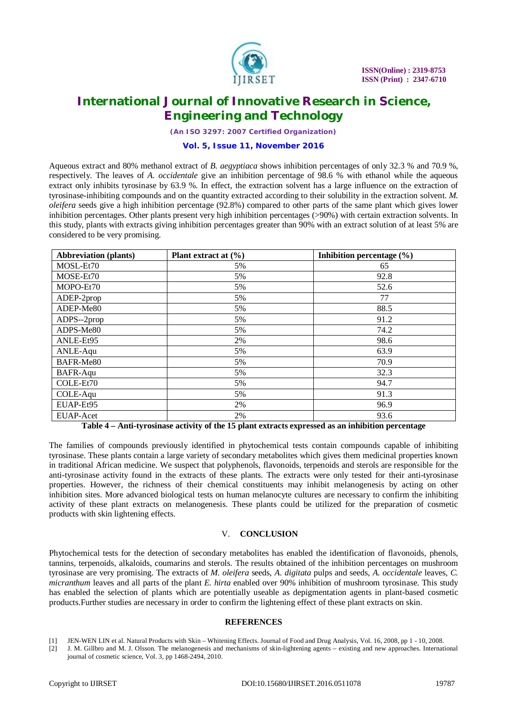

*(An ISO 3297: 2007 Certified Organization)*

#### **Vol. 5, Issue 11, November 2016**

Aqueous extract and 80% methanol extract of *B. aegyptiaca* shows inhibition percentages of only 32.3 % and 70.9 %, respectively. The leaves of *A. occidentale* give an inhibition percentage of 98.6 % with ethanol while the aqueous extract only inhibits tyrosinase by 63.9 %. In effect, the extraction solvent has a large influence on the extraction of tyrosinase-inhibiting compounds and on the quantity extracted according to their solubility in the extraction solvent. *M. oleifera* seeds give a high inhibition percentage (92.8%) compared to other parts of the same plant which gives lower inhibition percentages. Other plants present very high inhibition percentages (>90%) with certain extraction solvents. In this study, plants with extracts giving inhibition percentages greater than 90% with an extract solution of at least 5% are considered to be very promising.

| <b>Abbreviation (plants)</b> | Plant extract at $(\% )$ | Inhibition percentage $(\% )$ |
|------------------------------|--------------------------|-------------------------------|
| MOSL-Et70                    | 5%                       | 65                            |
| MOSE-Et70                    | 5%                       | 92.8                          |
| MOPO-Et70                    | 5%                       | 52.6                          |
| ADEP-2prop                   | 5%                       | 77                            |
| ADEP-Me80                    | 5%                       | 88.5                          |
| ADPS--2prop                  | 5%                       | 91.2                          |
| ADPS-Me80                    | 5%                       | 74.2                          |
| ANLE-Et95                    | 2%                       | 98.6                          |
| ANLE-Aqu                     | 5%                       | 63.9                          |
| BAFR-Me80                    | 5%                       | 70.9                          |
| BAFR-Aqu                     | 5%                       | 32.3                          |
| COLE-Et70                    | 5%                       | 94.7                          |
| COLE-Aqu                     | 5%                       | 91.3                          |
| EUAP-Et95                    | 2%                       | 96.9                          |
| EUAP-Acet                    | 2%                       | 93.6                          |

**Table 4 – Anti-tyrosinase activity of the 15 plant extracts expressed as an inhibition percentage**

The families of compounds previously identified in phytochemical tests contain compounds capable of inhibiting tyrosinase. These plants contain a large variety of secondary metabolites which gives them medicinal properties known in traditional African medicine. We suspect that polyphenols, flavonoids, terpenoids and sterols are responsible for the anti-tyrosinase activity found in the extracts of these plants. The extracts were only tested for their anti-tyrosinase properties. However, the richness of their chemical constituents may inhibit melanogenesis by acting on other inhibition sites. More advanced biological tests on human melanocyte cultures are necessary to confirm the inhibiting activity of these plant extracts on melanogenesis. These plants could be utilized for the preparation of cosmetic products with skin lightening effects.

### V. **CONCLUSION**

Phytochemical tests for the detection of secondary metabolites has enabled the identification of flavonoids, phenols, tannins, terpenoids, alkaloids, coumarins and sterols. The results obtained of the inhibition percentages on mushroom tyrosinase are very promising. The extracts of *M. oleifera* seeds, *A. digitata* pulps and seeds, *A. occidentale* leaves, *C. micranthum* leaves and all parts of the plant *E. hirta* enabled over 90% inhibition of mushroom tyrosinase. This study has enabled the selection of plants which are potentially useable as depigmentation agents in plant-based cosmetic products.Further studies are necessary in order to confirm the lightening effect of these plant extracts on skin.

#### **REFERENCES**

[2] J. M. Gillbro and M. J. Olsson. The melanogenesis and mechanisms of skin-lightening agents – existing and new approaches. International journal of cosmetic science, Vol. 3, pp 1468-2494, 2010.

<sup>[1]</sup> JEN-WEN LIN et al. Natural Products with Skin – Whitening Effects. Journal of Food and Drug Analysis, Vol. 16, 2008, pp 1 - 10, 2008.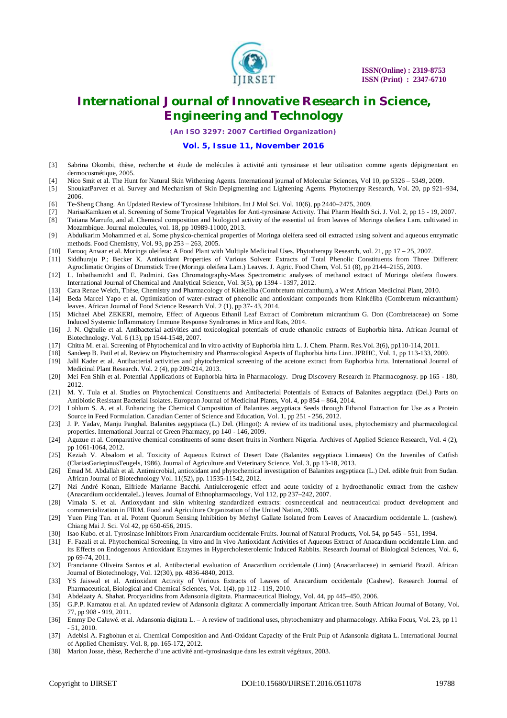

*(An ISO 3297: 2007 Certified Organization)*

#### **Vol. 5, Issue 11, November 2016**

- [3] Sabrina Okombi, thèse, recherche et étude de molécules à activité anti tyrosinase et leur utilisation comme agents dépigmentant en dermocosmétique, 2005.
- [4] Nico Smit et al. The Hunt for Natural Skin Withening Agents. International journal of Molecular Sciences, Vol 10, pp 5326 5349, 2009.
- [5] ShoukatParvez et al. Survey and Mechanism of Skin Depigmenting and Lightening Agents. Phytotherapy Research, Vol. 20, pp 921–934, 2006.
- [6] Te-Sheng Chang. An Updated Review of Tyrosinase Inhibitors. Int J Mol Sci. Vol. 10(6), pp 2440–2475, 2009.
- [7] NarisaKamkaen et al. Screening of Some Tropical Vegetables for Anti-tyrosinase Activity. Thai Pharm Health Sci. J. Vol. 2, pp 15 19, 2007.
- [8] Tatiana Marrufo, and al. Chemical composition and biological activity of the essential oil from leaves of Moringa oleifera Lam. cultivated in Mozambique. Journal molecules, vol. 18, pp 10989-11000, 2013.
- [9] Abdulkarim Mohammed et al. Some physico-chemical properties of Moringa oleifera seed oil extracted using solvent and aqueous enzymatic methods. Food Chemistry, Vol. 93, pp 253 – 263, 2005.
- [10] Farooq Anwar et al. Moringa oleifera: A Food Plant with Multiple Medicinal Uses. Phytotherapy Research, vol. 21, pp 17 25, 2007.
- [11] Siddhuraju P.; Becker K. Antioxidant Properties of Various Solvent Extracts of Total Phenolic Constituents from Three Different Agroclimatic Origins of Drumstick Tree (Moringa oleifera Lam.) Leaves. J. Agric. Food Chem, Vol. 51 (8), pp 2144–2155, 2003.
- [12] L. Inbathamizh1 and E. Padmini. Gas Chromatography-Mass Spectrometric analyses of methanol extract of Moringa oleifera flowers. International Journal of Chemical and Analytical Science, Vol. 3(5), pp 1394 - 1397, 2012.
- [13] Cara Renae Welch, Thèse, Chemistry and Pharmacology of Kinkeliba (Combretum micranthum), a West African Medicinal Plant, 2010.
- [14] Beda Marcel Yapo et al. Optimization of water-extract of phenolic and antioxidant compounds from Kinkéliba (Combretum micranthum) leaves. African Journal of Food Science Research Vol. 2 (1), pp 37-43, 2014.
- [15] Michael Abel ZEKERI, memoire, Effect of Aqueous Ethanil Leaf Extract of Combretum micranthum G. Don (Combretaceae) on Some Induced Systemic Inflammatory Immune Response Syndromes in Mice and Rats, 2014.
- [16] J. N. Ogbulie et al. Antibacterial activities and toxicological potentials of crude ethanolic extracts of Euphorbia hirta. African Journal of Biotechnology. Vol. 6 (13), pp 1544-1548, 2007.
- [17] Chitra M. et al. Screening of Phytochemical and In vitro activity of Euphorbia hirta L. J. Chem. Pharm. Res.Vol. 3(6), pp110-114, 2011.
- [18] Sandeep B. Patil et al. Review on Phytochemistry and Pharmacological Aspects of Euphorbia hirta Linn. JPRHC, Vol. 1, pp 113-133, 2009.
- [19] Jalil Kader et al. Antibacterial activities and phytochemical screening of the acetone extract from Euphorbia hirta. International Journal of Medicinal Plant Research. Vol. 2 (4), pp 209-214, 2013.
- [20] Mei Fen Shih et al. Potential Applications of Euphorbia hirta in Pharmacology. Drug Discovery Research in Pharmacognosy. pp 165 180, 2012.
- [21] M. Y. Tula et al. Studies on Phytochemical Constituents and Antibacterial Potentials of Extracts of Balanites aegyptiaca (Del.) Parts on Antibiotic Resistant Bacterial Isolates. European Journal of Medicinal Plants, Vol. 4, pp 854 – 864, 2014.
- [22] Lohlum S. A. et al. Enhancing the Chemical Composition of Balanites aegyptiaca Seeds through Ethanol Extraction for Use as a Protein Source in Feed Formulation. Canadian Center of Science and Education, Vol. 1, pp 251 - 256, 2012.
- [23] J. P. Yadav, Manju Panghal. Balanites aegyptiaca (L.) Del. (Hingot): A review of its traditional uses, phytochemistry and pharmacological properties. International Journal of Green Pharmacy, pp 140 - 146, 2009.
- [24] Aguzue et al. Comparative chemical constituents of some desert fruits in Northern Nigeria. Archives of Applied Science Research, Vol. 4 (2), pp 1061-1064, 2012.
- [25] Keziah V. Absalom et al. Toxicity of Aqueous Extract of Desert Date (Balanites aegyptiaca Linnaeus) On the Juveniles of Catfish (ClariasGariepinusTeugels, 1986). Journal of Agriculture and Veterinary Science. Vol. 3, pp 13-18, 2013.
- [26] Emad M. Abdallah et al. Antimicrobial, antioxidant and phytochemical investigation of Balanites aegyptiaca (L.) Del. edible fruit from Sudan. African Journal of Biotechnology Vol. 11(52), pp. 11535-11542, 2012.
- [27] Nzi André Konan, Elfriede Marianne Bacchi. Antiulcerogenic effect and acute toxicity of a hydroethanolic extract from the cashew (Anacardium occidentaleL.) leaves. Journal of Ethnopharmacology, Vol 112, pp 237–242, 2007.
- [28] Vimala S. et al. Antioxydant and skin whitening standardized extracts: cosmeceutical and neutraceutical product development and commercialization in FIRM. Food and Agriculture Organization of the United Nation, 2006.
- [29] Yuen Ping Tan. et al. Potent Quorum Sensing Inhibition by Methyl Gallate Isolated from Leaves of Anacardium occidentale L. (cashew). Chiang Mai J. Sci. Vol 42, pp 650-656, 2015.
- [30] Isao Kubo. et al. Tyrosinase Inhibitors From Anarcardium occidentale Fruits. Journal of Natural Products, Vol. 54, pp 545 551, 1994.
- [31] F. Fazali et al. Phytochemical Screening, In vitro and In vivo Antioxidant Activities of Aqueous Extract of Anacardium occidentale Linn. and its Effects on Endogenous Antioxidant Enzymes in Hypercholesterolemic Induced Rabbits. Research Journal of Biological Sciences, Vol. 6, pp 69-74, 2011.
- [32] Francianne Oliveira Santos et al. Antibacterial evaluation of Anacardium occidentale (Linn) (Anacardiaceae) in semiarid Brazil. African Journal of Biotechnology, Vol. 12(30), pp. 4836-4840, 2013.
- [33] YS Jaiswal et al. Antioxidant Activity of Various Extracts of Leaves of Anacardium occidentale (Cashew). Research Journal of Pharmaceutical, Biological and Chemical Sciences, Vol. 1(4), pp 112 - 119, 2010.
- [34] Abdelaaty A. Shahat. Procyanidins from Adansonia digitata. Pharmaceutical Biology, Vol. 44, pp 445–450, 2006.
- [35] G.P.P. Kamatou et al. An updated review of Adansonia digitata: A commercially important African tree. South African Journal of Botany, Vol. 77, pp 908 - 919, 2011.
- [36] Emmy De Caluwé. et al. Adansonia digitata L. A review of traditional uses, phytochemistry and pharmacology. Afrika Focus, Vol. 23, pp 11 - 51, 2010.
- [37] Adebisi A. Fagbohun et al. Chemical Composition and Anti-Oxidant Capacity of the Fruit Pulp of Adansonia digitata L. International Journal of Applied Chemistry. Vol. 8, pp. 165-172, 2012.
- [38] Marion Josse, thèse, Recherche d'une activité anti-tyrosinasique dans les extrait végétaux, 2003.